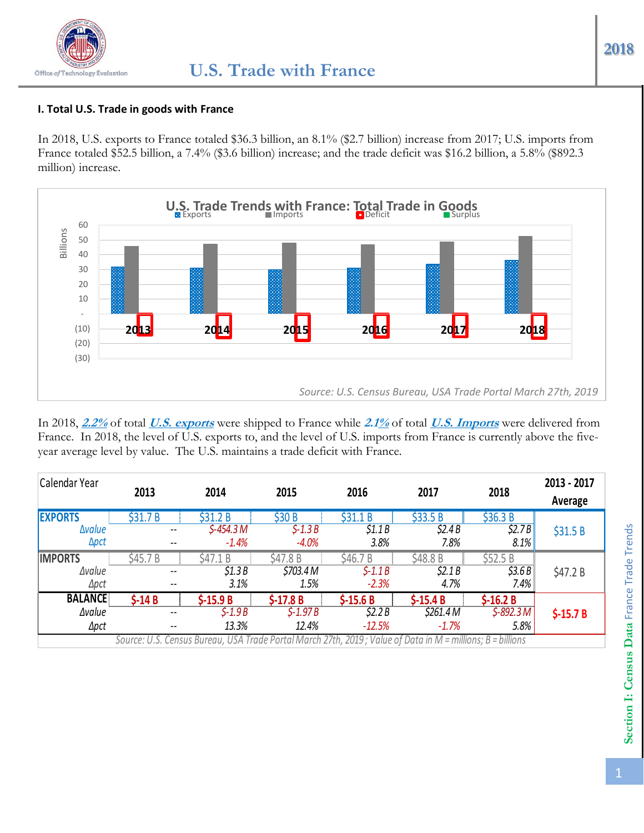#### **I. Total U.S. Trade in goods with France**

In 2018, U.S. exports to France totaled \$36.3 billion, an 8.1% (\$2.7 billion) increase from 2017; U.S. imports from France totaled \$52.5 billion, a 7.4% (\$3.6 billion) increase; and the trade deficit was \$16.2 billion, a 5.8% (\$892.3 million) increase.



In 2018, **2.2%** of total **U.S. exports** were shipped to France while **2.1%** of total **U.S. Imports** were delivered from France. In 2018, the level of U.S. exports to, and the level of U.S. imports from France is currently above the fiveyear average level by value. The U.S. maintains a trade deficit with France.

| Calendar Year  | 2013                                                                                                       | 2014       | 2015      | 2016      | 2017       | 2018       | 2013 - 2017<br>Average |  |  |
|----------------|------------------------------------------------------------------------------------------------------------|------------|-----------|-----------|------------|------------|------------------------|--|--|
| <b>EXPORTS</b> | \$31.7B                                                                                                    | \$31.2B    | \$30 B    | \$31.1B   | \$33.5B    | \$36.3 B   |                        |  |  |
| <b>Avalue</b>  | $- -$                                                                                                      | \$-454.3 M | $$-1.3B$  | \$1.1B    | \$2.4B     | \$2.7B     | \$31.5B                |  |  |
| <b>Apct</b>    | $- -$                                                                                                      | $-1.4%$    | $-4.0%$   | 3.8%      | 7.8%       | 8.1%       |                        |  |  |
| <b>IMPORTS</b> | \$45.7 B                                                                                                   | \$47.1 B   | \$47.8 B  | \$46.7 B  | \$48.8 B   | \$52.5B    | \$47.2 B               |  |  |
| <b>Avalue</b>  | $- -$                                                                                                      | \$1.3B     | \$703.4 M | $$-1.1B$  | \$2.1B     | \$3.6B     |                        |  |  |
| $\Delta pct$   | $- -$                                                                                                      | 3.1%       | 1.5%      | $-2.3%$   | 4.7%       | 7.4%       |                        |  |  |
| <b>BALANCE</b> | $$-14B$                                                                                                    | $$-15.9 B$ | $$-17.8B$ | $$-15.6B$ | $$-15.4 B$ | $$-16.2 B$ | $$-15.7 B$             |  |  |
| <b>Avalue</b>  | $- -$                                                                                                      | $$-1.9B$   | $S-1.97B$ | 52.2B     | \$261.4 M  | $$-892.3M$ |                        |  |  |
| Δpct           | $- -$                                                                                                      | 13.3%      | 12.4%     | $-12.5%$  | $-1.7%$    | 5.8%       |                        |  |  |
|                | Source: U.S. Census Bureau, USA Trade Portal March 27th, 2019; Value of Data in M = millions; B = billions |            |           |           |            |            |                        |  |  |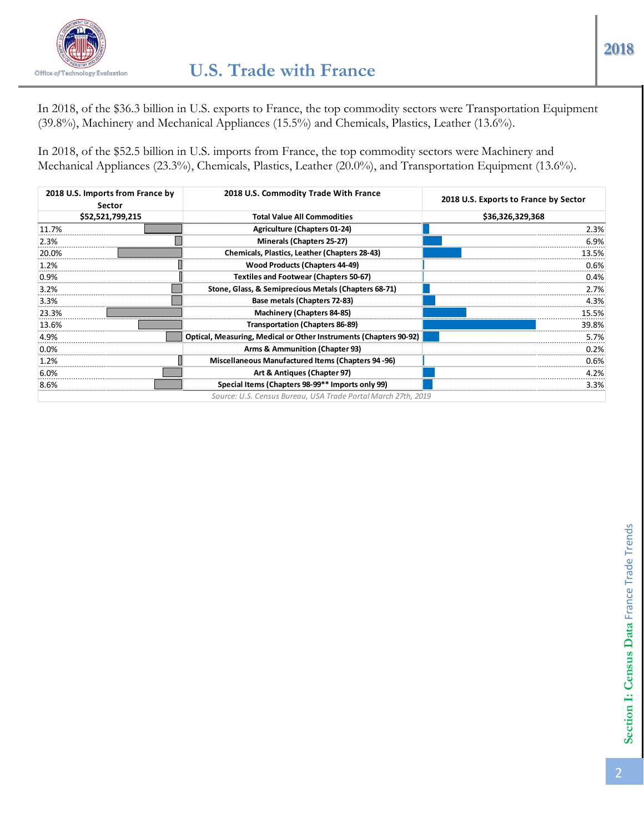

In 2018, of the \$36.3 billion in U.S. exports to France, the top commodity sectors were Transportation Equipment (39.8%), Machinery and Mechanical Appliances (15.5%) and Chemicals, Plastics, Leather (13.6%).

In 2018, of the \$52.5 billion in U.S. imports from France, the top commodity sectors were Machinery and Mechanical Appliances (23.3%), Chemicals, Plastics, Leather (20.0%), and Transportation Equipment (13.6%).

| 2018 U.S. Imports from France by<br><b>Sector</b> | 2018 U.S. Commodity Trade With France                             | 2018 U.S. Exports to France by Sector |  |
|---------------------------------------------------|-------------------------------------------------------------------|---------------------------------------|--|
| \$52,521,799,215                                  | <b>Total Value All Commodities</b>                                | \$36,326,329,368                      |  |
| 11.7%                                             | <b>Agriculture (Chapters 01-24)</b>                               | 2.3%                                  |  |
| 2.3%                                              | Minerals (Chapters 25-27)                                         | 6.9%                                  |  |
| 20.0%                                             | Chemicals, Plastics, Leather (Chapters 28-43)                     | 13.5%                                 |  |
| 1.2%                                              | <b>Wood Products (Chapters 44-49)</b>                             | 0.6%                                  |  |
| 0.9%                                              | <b>Textiles and Footwear (Chapters 50-67)</b>                     | 0.4%                                  |  |
| 3.2%                                              | Stone, Glass, & Semiprecious Metals (Chapters 68-71)              | 2.7%                                  |  |
| 3.3%                                              | Base metals (Chapters 72-83)                                      | 4.3%                                  |  |
| 23.3%                                             | <b>Machinery (Chapters 84-85)</b>                                 | 15.5%                                 |  |
| 13.6%                                             | <b>Transportation (Chapters 86-89)</b>                            | 39.8%                                 |  |
| 4.9%                                              | Optical, Measuring, Medical or Other Instruments (Chapters 90-92) | 5.7%                                  |  |
| $0.0\%$                                           | Arms & Ammunition (Chapter 93)                                    | 0.2%                                  |  |
| 1.2%                                              | Miscellaneous Manufactured Items (Chapters 94-96)                 | 0.6%                                  |  |
| 6.0%                                              | Art & Antiques (Chapter 97)                                       | 4.2%                                  |  |
| 8.6%                                              | Special Items (Chapters 98-99** Imports only 99)                  | 3.3%                                  |  |
|                                                   | Source: U.S. Census Bureau, USA Trade Portal March 27th, 2019     |                                       |  |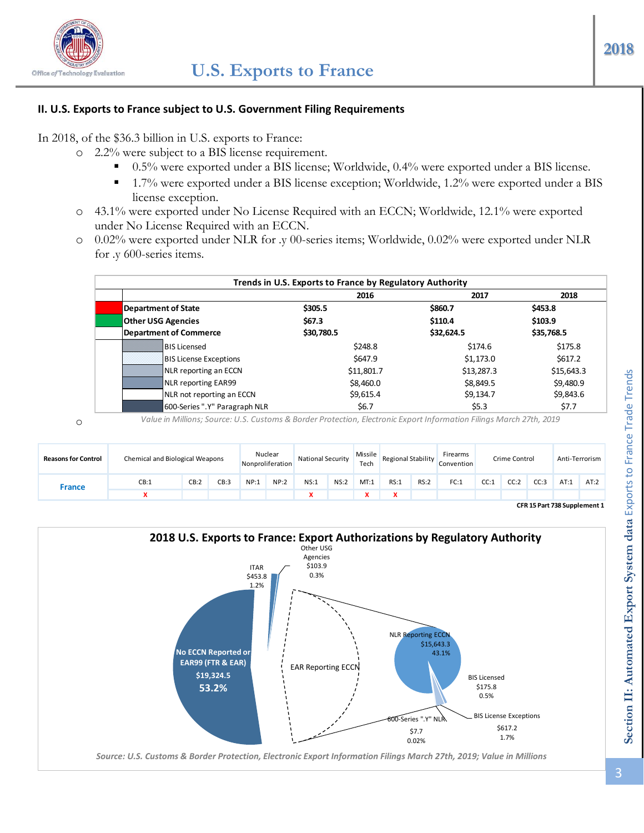

#### **II. U.S. Exports to France subject to U.S. Government Filing Requirements**

In 2018, of the \$36.3 billion in U.S. exports to France:

- o 2.2% were subject to a BIS license requirement.
	- 0.5% were exported under a BIS license; Worldwide, 0.4% were exported under a BIS license.
	- 1.7% were exported under a BIS license exception; Worldwide, 1.2% were exported under a BIS license exception.
- o 43.1% were exported under No License Required with an ECCN; Worldwide, 12.1% were exported under No License Required with an ECCN.
- o 0.02% were exported under NLR for .y 00-series items; Worldwide, 0.02% were exported under NLR for .y 600-series items.

|                               | 2016       | 2017       | 2018       |  |
|-------------------------------|------------|------------|------------|--|
| <b>Department of State</b>    | \$305.5    | \$860.7    | \$453.8    |  |
| <b>Other USG Agencies</b>     | \$67.3     | \$110.4    | \$103.9    |  |
| <b>Department of Commerce</b> | \$30,780.5 | \$32,624.5 | \$35,768.5 |  |
| <b>BIS Licensed</b>           | \$248.8    | \$174.6    | \$175.8    |  |
| <b>BIS License Exceptions</b> | \$647.9    | \$1,173.0  | \$617.2\$  |  |
| NLR reporting an ECCN         | \$11,801.7 | \$13,287.3 | \$15,643.3 |  |
| NLR reporting EAR99           | \$8,460.0  | \$8,849.5  | \$9,480.9  |  |
| NLR not reporting an ECCN     | \$9,615.4  | \$9,134.7  | \$9,843.6  |  |
| 600-Series ".Y" Paragraph NLR | \$6.7      | \$5.3      | \$7.7      |  |

o

*Value in Millions; Source: U.S. Customs & Border Protection, Electronic Export Information Filings March 27th, 2019*

| <b>Reasons for Control</b> | Chemical and Biological Weapons |      |      |      | Nuclear<br>Nonproliferation | <b>National Security</b> |      | Missile<br>Tech | Regional Stability |      | Firearms<br>Convention |      | Crime Control |      | Anti-Terrorism               |      |
|----------------------------|---------------------------------|------|------|------|-----------------------------|--------------------------|------|-----------------|--------------------|------|------------------------|------|---------------|------|------------------------------|------|
| <b>France</b>              | CB:1                            | CB:2 | CB:3 | NP:1 | NP:2                        | NS:1                     | NS:2 | MT:1            | RS:1               | RS:2 | FC:1                   | CC:1 | CC:2          | CC:3 | AT:1                         | AT:2 |
|                            |                                 |      |      |      |                             |                          |      |                 |                    |      |                        |      |               |      |                              |      |
|                            |                                 |      |      |      |                             |                          |      |                 |                    |      |                        |      |               |      | CFR 15 Part 738 Supplement 1 |      |

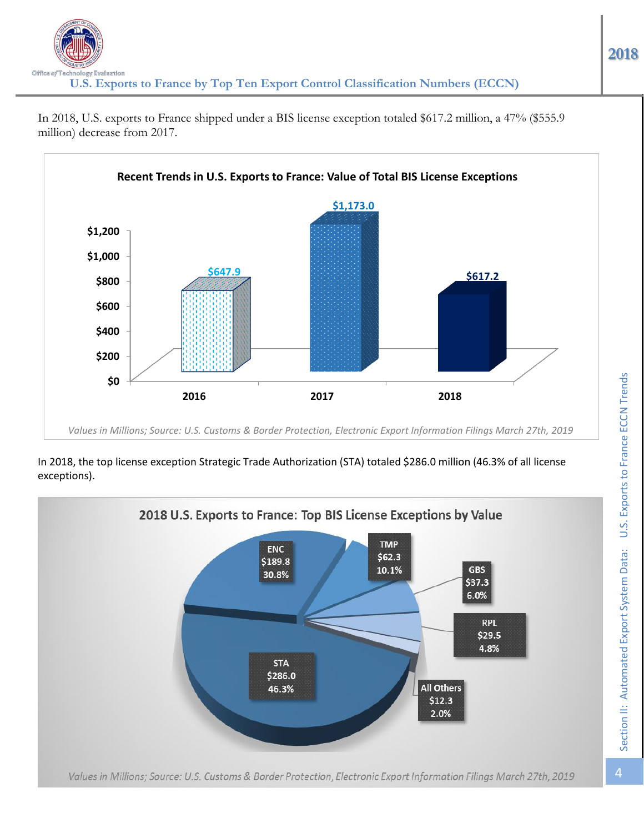

In 2018, U.S. exports to France shipped under a BIS license exception totaled \$617.2 million, a 47% (\$555.9 million) decrease from 2017.

### In 2018, the top license exception Strategic Trade Authorization (STA) totaled \$286.0 million (46.3% of all license exceptions).

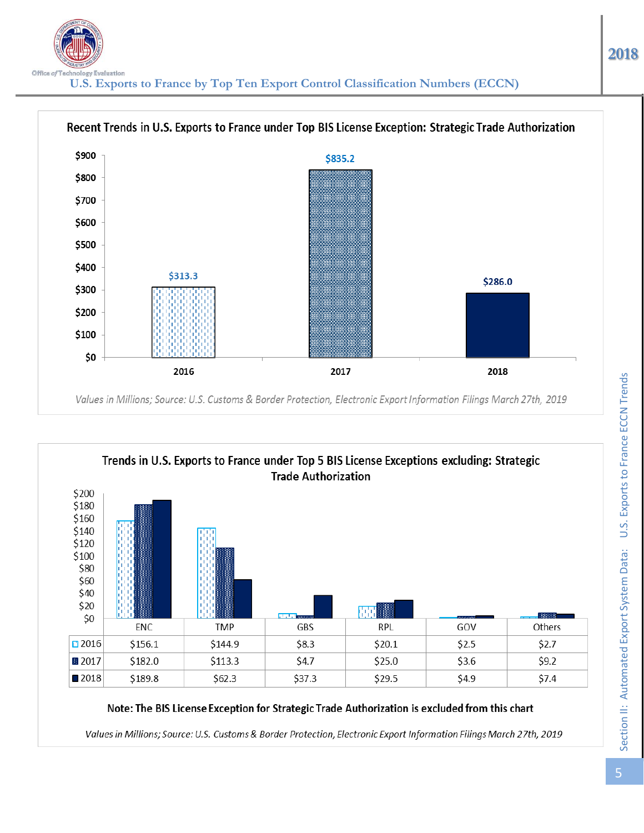



### Note: The BIS License Exception for Strategic Trade Authorization is excluded from this chart

Values in Millions; Source: U.S. Customs & Border Protection, Electronic Export Information Filings March 27th, 2019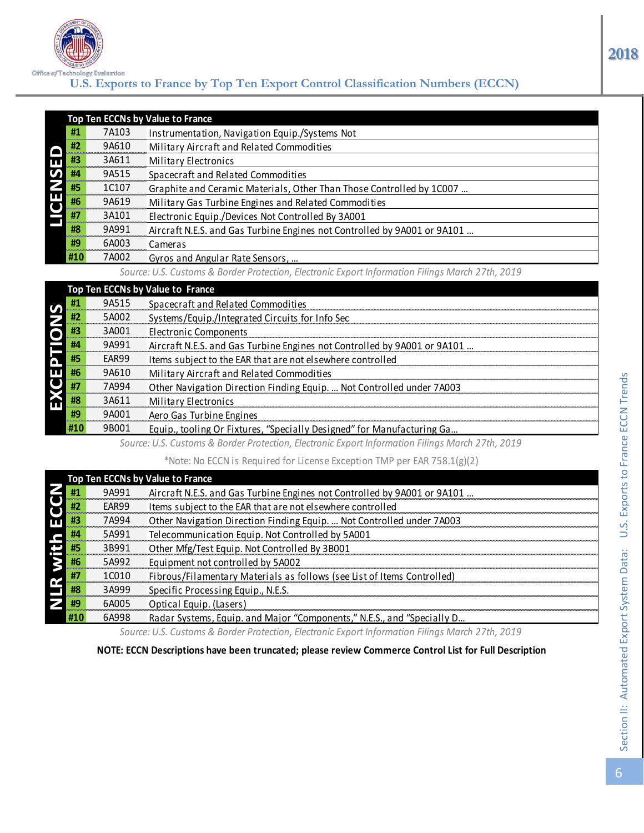

## **U.S. Exports to France by Top Ten Export Control Classification Numbers (ECCN)**

|                      |     |       | Top Ten ECCNs by Value to France                                                                 |
|----------------------|-----|-------|--------------------------------------------------------------------------------------------------|
|                      | #1  | 7A103 | Instrumentation, Navigation Equip./Systems Not                                                   |
|                      | #2  | 9A610 | Military Aircraft and Related Commodities                                                        |
| LICENSED             | #3  | 3A611 | Military Electronics                                                                             |
|                      | #4  | 9A515 | Spacecraft and Related Commodities                                                               |
|                      | #5  | 1C107 | Graphite and Ceramic Materials, Other Than Those Controlled by 1C007                             |
|                      | #6  | 9A619 | Military Gas Turbine Engines and Related Commodities                                             |
|                      | #7  | 3A101 | Electronic Equip./Devices Not Controlled By 3A001                                                |
|                      | #8  | 9A991 | Aircraft N.E.S. and Gas Turbine Engines not Controlled by 9A001 or 9A101                         |
|                      | #9  | 6A003 | Cameras                                                                                          |
|                      | #10 | 7A002 | Gyros and Angular Rate Sensors,                                                                  |
|                      |     |       | Source: U.S. Customs & Border Protection, Electronic Export Information Filings March 27th, 2019 |
|                      |     |       | Top Ten ECCNs by Value to France                                                                 |
|                      | #1  | 9A515 | Spacecraft and Related Commodities                                                               |
| <b>EXCEPTIONS</b>    | #2  | 5A002 | Systems/Equip./Integrated Circuits for Info Sec                                                  |
|                      | #3  | 3A001 | <b>Electronic Components</b>                                                                     |
|                      | #4  | 9A991 | Aircraft N.E.S. and Gas Turbine Engines not Controlled by 9A001 or 9A101                         |
|                      | #5  | EAR99 | Items subject to the EAR that are not elsewhere controlled                                       |
|                      | #6  | 9A610 | Military Aircraft and Related Commodities                                                        |
|                      | #7  | 7A994 | Other Navigation Direction Finding Equip.  Not Controlled under 7A003                            |
|                      | #8  | 3A611 | Military Electronics                                                                             |
|                      | #9  | 9A001 | Aero Gas Turbine Engines                                                                         |
|                      | #10 | 9B001 | Equip., tooling Or Fixtures, "Specially Designed" for Manufacturing Ga                           |
|                      |     |       | Source: U.S. Customs & Border Protection, Electronic Export Information Filings March 27th, 2019 |
|                      |     |       | *Note: No ECCN is Required for License Exception TMP per EAR 758.1(g)(2)                         |
|                      |     |       | Top Ten ECCNs by Value to France                                                                 |
|                      | #1  | 9A991 | Aircraft N.E.S. and Gas Turbine Engines not Controlled by 9A001 or 9A101                         |
|                      | #2  | EAR99 | Items subject to the EAR that are not elsewhere controlled                                       |
|                      | #3  | 7A994 | Other Navigation Direction Finding Equip.  Not Controlled under 7A003                            |
|                      | #4  | 5A991 | Telecommunication Equip. Not Controlled by 5A001                                                 |
|                      | #5  | 3B991 | Other Mfg/Test Equip. Not Controlled By 3B001                                                    |
|                      | #6  | 5A992 | Equipment not controlled by 5A002                                                                |
| <b>NLR with ECCN</b> | #7  | 1C010 | Fibrous/Filamentary Materials as follows (see List of Items Controlled)                          |
|                      | #8  | 3A999 | Specific Processing Equip., N.E.S.                                                               |
|                      | #9  | 6A005 | Optical Equip. (Lasers)                                                                          |
|                      | #10 | 6A998 | Radar Systems, Equip. and Major "Components," N.E.S., and "Specially D                           |

|    |       | Top Ten ECCNs by Value to France                                         |
|----|-------|--------------------------------------------------------------------------|
| #1 | 9A515 | Spacecraft and Related Commodities                                       |
| #2 | 5A002 | Systems/Equip./Integrated Circuits for Info Sec                          |
| #3 | 3A001 | Electronic Components                                                    |
| #4 | 9A991 | Aircraft N.E.S. and Gas Turbine Engines not Controlled by 9A001 or 9A101 |
| #5 | FAR99 | Items subject to the EAR that are not elsewhere controlled               |
| #6 | 9A610 | Military Aircraft and Related Commodities                                |
| #7 | 7A994 | Other Navigation Direction Finding Equip.  Not Controlled under 7A003    |
| #8 | 3A611 | <b>Military Electronics</b>                                              |
| #9 | 9A001 | Aero Gas Turbine Engines                                                 |
|    | 9B001 | Equip., tooling Or Fixtures, "Specially Designed" for Manufacturing Ga   |

|                                                                                                       |       | Top Ten ECCNs by Value to France                                         |  |  |  |  |  |  |
|-------------------------------------------------------------------------------------------------------|-------|--------------------------------------------------------------------------|--|--|--|--|--|--|
| #1                                                                                                    | 9A991 | Aircraft N.E.S. and Gas Turbine Engines not Controlled by 9A001 or 9A101 |  |  |  |  |  |  |
| #2                                                                                                    | EAR99 | Items subject to the EAR that are not elsewhere controlled               |  |  |  |  |  |  |
| #3                                                                                                    | 7A994 | Other Navigation Direction Finding Equip.  Not Controlled under 7A003    |  |  |  |  |  |  |
| #4                                                                                                    | 5A991 | Telecommunication Equip. Not Controlled by 5A001                         |  |  |  |  |  |  |
| #5                                                                                                    | 3B991 | Other Mfg/Test Equip. Not Controlled By 3B001                            |  |  |  |  |  |  |
| #6                                                                                                    | 5A992 | Equipment not controlled by 5A002                                        |  |  |  |  |  |  |
| #7                                                                                                    | 1C010 | Fibrous/Filamentary Materials as follows (see List of Items Controlled)  |  |  |  |  |  |  |
| #8                                                                                                    | 3A999 | Specific Processing Equip., N.E.S.                                       |  |  |  |  |  |  |
| #9                                                                                                    | 6A005 | Optical Equip. (Lasers)                                                  |  |  |  |  |  |  |
| #10                                                                                                   | 6A998 | Radar Systems, Equip. and Major "Components," N.E.S., and "Specially D   |  |  |  |  |  |  |
| Source: U.S. Customs & Border Protection, Electronic Export Information Filings March 27th, 2019      |       |                                                                          |  |  |  |  |  |  |
| NOTE: ECCN Descriptions have been truncated; please review Commerce Control List for Full Description |       |                                                                          |  |  |  |  |  |  |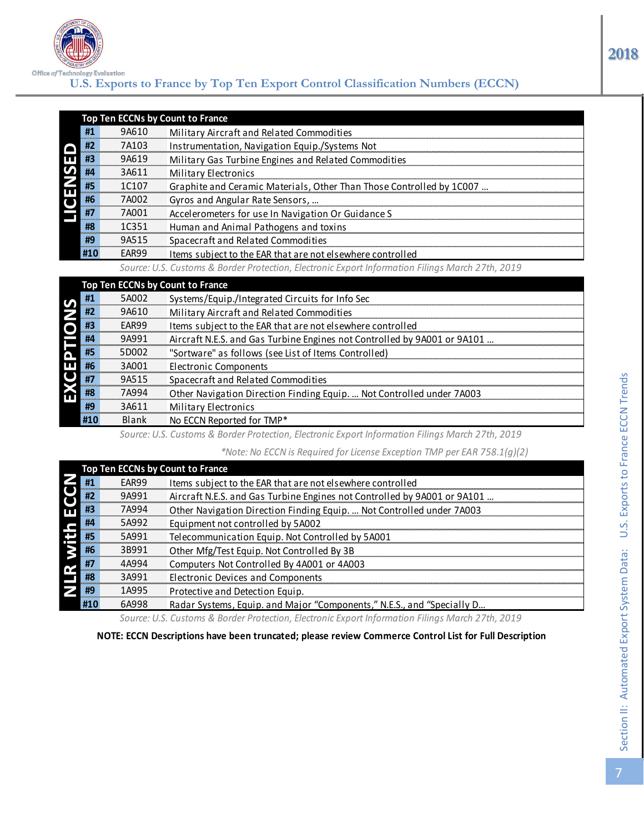

# **U.S. Exports to France by Top Ten Export Control Classification Numbers (ECCN)**

|                                                                                                  |       | Top Ten ECCNs by Count to France                                     |  |  |  |  |  |
|--------------------------------------------------------------------------------------------------|-------|----------------------------------------------------------------------|--|--|--|--|--|
| #1                                                                                               | 9A610 | Military Aircraft and Related Commodities                            |  |  |  |  |  |
| #2                                                                                               | 7A103 | Instrumentation, Navigation Equip./Systems Not                       |  |  |  |  |  |
| #3                                                                                               | 9A619 | Military Gas Turbine Engines and Related Commodities                 |  |  |  |  |  |
| #4                                                                                               | 3A611 | Military Electronics                                                 |  |  |  |  |  |
| #5                                                                                               | 1C107 | Graphite and Ceramic Materials, Other Than Those Controlled by 1C007 |  |  |  |  |  |
| #6                                                                                               | 7A002 | Gyros and Angular Rate Sensors,                                      |  |  |  |  |  |
| #7                                                                                               | 7A001 | Accelerometers for use In Navigation Or Guidance S                   |  |  |  |  |  |
| #8                                                                                               | 1C351 | Human and Animal Pathogens and toxins                                |  |  |  |  |  |
| #9                                                                                               | 9A515 | Spacecraft and Related Commodities                                   |  |  |  |  |  |
| <b>#10</b>                                                                                       | EAR99 | Items subject to the EAR that are not elsewhere controlled           |  |  |  |  |  |
| Source: U.S. Customs & Border Protection, Electronic Export Information Filings March 27th, 2019 |       |                                                                      |  |  |  |  |  |
| Top Ten ECCNs by Count to France                                                                 |       |                                                                      |  |  |  |  |  |

| #1  | 5A002 | Systems/Equip./Integrated Circuits for Info Sec                          |
|-----|-------|--------------------------------------------------------------------------|
| #2  | 9A610 | Military Aircraft and Related Commodities                                |
| #3  | EAR99 | Items subject to the EAR that are not elsewhere controlled               |
| #4  | 9A991 | Aircraft N.E.S. and Gas Turbine Engines not Controlled by 9A001 or 9A101 |
| #5  | 5D002 | "Sortware" as follows (see List of Items Controlled)                     |
| #6  | 3A001 | <b>Electronic Components</b>                                             |
| #7  | 9A515 | Spacecraft and Related Commodities                                       |
| #8  | 7A994 | Other Navigation Direction Finding Equip.  Not Controlled under 7A003    |
| #9  | 3A611 | Military Electronics                                                     |
| #10 | Blank | No ECCN Reported for TMP*                                                |
|     |       |                                                                          |

|                      | HZ  | /A103 | <u>Instrumentation, Navigation Equip./Systems Not</u>                                                 |
|----------------------|-----|-------|-------------------------------------------------------------------------------------------------------|
| <b>LICENSED</b>      | #3  | 9A619 | Military Gas Turbine Engines and Related Commodities                                                  |
|                      | #4  | 3A611 | Military Electronics                                                                                  |
|                      | #5  | 1C107 | Graphite and Ceramic Materials, Other Than Those Controlled by 1C007                                  |
|                      | #6  | 7A002 | Gyros and Angular Rate Sensors,                                                                       |
|                      | #7  | 7A001 | Accelerometers for use In Navigation Or Guidance S                                                    |
|                      | #8  | 1C351 | Human and Animal Pathogens and toxins                                                                 |
|                      | #9  | 9A515 | Spacecraft and Related Commodities                                                                    |
|                      | #10 | EAR99 | Items subject to the EAR that are not elsewhere controlled                                            |
|                      |     |       | Source: U.S. Customs & Border Protection, Electronic Export Information Filings March 27th, 2019      |
|                      |     |       | Top Ten ECCNs by Count to France                                                                      |
|                      | #1  | 5A002 | Systems/Equip./Integrated Circuits for Info Sec                                                       |
| EXCEPTIONS           | #2  | 9A610 | Military Aircraft and Related Commodities                                                             |
|                      | #3  | EAR99 | Items subject to the EAR that are not elsewhere controlled                                            |
|                      | #4  | 9A991 | Aircraft N.E.S. and Gas Turbine Engines not Controlled by 9A001 or 9A101                              |
|                      | #5  | 5D002 | "Sortware" as follows (see List of Items Controlled)                                                  |
|                      | #6  | 3A001 | <b>Electronic Components</b>                                                                          |
|                      | #7  | 9A515 | Spacecraft and Related Commodities                                                                    |
|                      | #8  | 7A994 | Other Navigation Direction Finding Equip.  Not Controlled under 7A003                                 |
|                      | #9  | 3A611 | Military Electronics                                                                                  |
|                      | #10 | Blank | No ECCN Reported for TMP*                                                                             |
|                      |     |       | Source: U.S. Customs & Border Protection, Electronic Export Information Filings March 27th, 2019      |
|                      |     |       | *Note: No ECCN is Required for License Exception TMP per EAR 758.1(g)(2)                              |
|                      |     |       | Top Ten ECCNs by Count to France                                                                      |
|                      | #1  | EAR99 | Items subject to the EAR that are not elsewhere controlled                                            |
|                      | #2  | 9A991 | Aircraft N.E.S. and Gas Turbine Engines not Controlled by 9A001 or 9A101                              |
|                      | #3  | 7A994 | Other Navigation Direction Finding Equip.  Not Controlled under 7A003                                 |
|                      | #4  | 5A992 | Equipment not controlled by 5A002                                                                     |
|                      | #5  | 5A991 | Telecommunication Equip. Not Controlled by 5A001                                                      |
|                      | #6  | 3B991 | Other Mfg/Test Equip. Not Controlled By 3B                                                            |
|                      | #7  | 4A994 | Computers Not Controlled By 4A001 or 4A003                                                            |
| <b>NLR with ECCN</b> | #8  | 3A991 | <b>Electronic Devices and Components</b>                                                              |
|                      | #9  | 1A995 | Protective and Detection Equip.                                                                       |
|                      | #10 | 6A998 | Radar Systems, Equip. and Major "Components," N.E.S., and "Specially D                                |
|                      |     |       | Source: U.S. Customs & Border Protection, Electronic Export Information Filings March 27th, 2019      |
|                      |     |       | NOTE: ECCN Descriptions have been truncated; please review Commerce Control List for Full Description |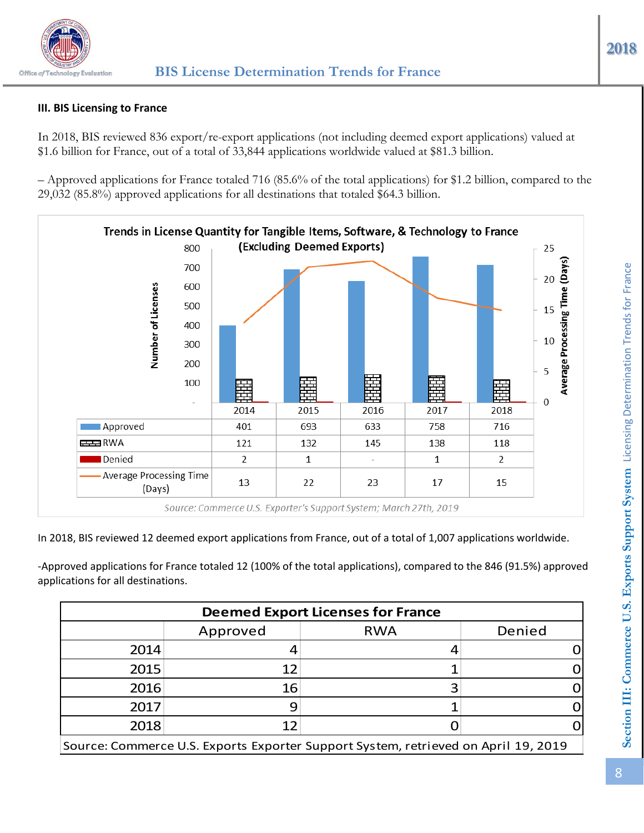

# **III. BIS Licensing to France**

In 2018, BIS reviewed 836 export/re-export applications (not including deemed export applications) valued at \$1.6 billion for France, out of a total of 33,844 applications worldwide valued at \$81.3 billion.

– Approved applications for France totaled 716 (85.6% of the total applications) for \$1.2 billion, compared to the 29,032 (85.8%) approved applications for all destinations that totaled \$64.3 billion.



In 2018, BIS reviewed 12 deemed export applications from France, out of a total of 1,007 applications worldwide.

-Approved applications for France totaled 12 (100% of the total applications), compared to the 846 (91.5%) approved applications for all destinations.

| <b>Deemed Export Licenses for France</b>                                           |          |            |        |  |  |  |  |  |
|------------------------------------------------------------------------------------|----------|------------|--------|--|--|--|--|--|
|                                                                                    | Approved | <b>RWA</b> | Denied |  |  |  |  |  |
| 2014                                                                               |          |            |        |  |  |  |  |  |
| 2015                                                                               | 12       |            |        |  |  |  |  |  |
| 2016                                                                               | 16       |            |        |  |  |  |  |  |
| 2017                                                                               |          |            |        |  |  |  |  |  |
| 2018                                                                               | 12       |            |        |  |  |  |  |  |
| Source: Commerce U.S. Exports Exporter Support System, retrieved on April 19, 2019 |          |            |        |  |  |  |  |  |

**2018**